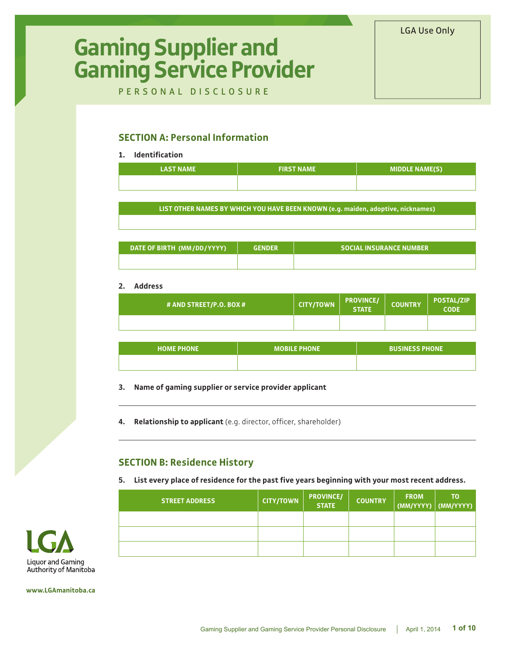#### LGA Use Only

# **Gaming Supplier and Gaming Service Provider**

PERSONAL DISCLOSURE

## **SECTION A: Personal Information**

#### **1. Identification**

| <b>LAST NAME</b> | <b>FIRST NAME</b> | <b>MIDDLE NAME(S)</b> |
|------------------|-------------------|-----------------------|
|                  |                   |                       |

**LIST OTHER NAMES BY WHICH YOU HAVE BEEN KNOWN (e.g. maiden, adoptive, nicknames)**

| DATE OF BIRTH (MM/DD/YYYY) | <b>GENDER</b> | <b>SOCIAL INSURANCE NUMBER</b> |
|----------------------------|---------------|--------------------------------|
|                            |               |                                |

#### **2. Address**

| # AND STREET/P.O. BOX # | <b>CITY/TOWN</b> | <b>PROVINCE/</b><br><b>STATE</b> | <b>COUNTRY</b> | <b>POSTAL/ZIP</b><br><b>CODE</b> |
|-------------------------|------------------|----------------------------------|----------------|----------------------------------|
|                         |                  |                                  |                |                                  |

| <b>HOME PHONE</b> | <b>MOBILE PHONE</b> | <b>BUSINESS PHONE</b> |
|-------------------|---------------------|-----------------------|
|                   |                     |                       |

#### **3. Name of gaming supplier or service provider applicant**

**4. Relationship to applicant** (e.g. director, officer, shareholder)

#### **SECTION B: Residence History**

**5. List every place of residence for the past five years beginning with your most recent address.**

| <b>STREET ADDRESS</b> | <b>CITY/TOWN</b> | <b>PROVINCE/</b><br><b>STATE</b> | <b>COUNTRY</b> | <b>FROM</b><br>(MM/YYYY)   (MM/YYYY) | ΤO |
|-----------------------|------------------|----------------------------------|----------------|--------------------------------------|----|
|                       |                  |                                  |                |                                      |    |
|                       |                  |                                  |                |                                      |    |
|                       |                  |                                  |                |                                      |    |



**www.LGAmanitoba.ca**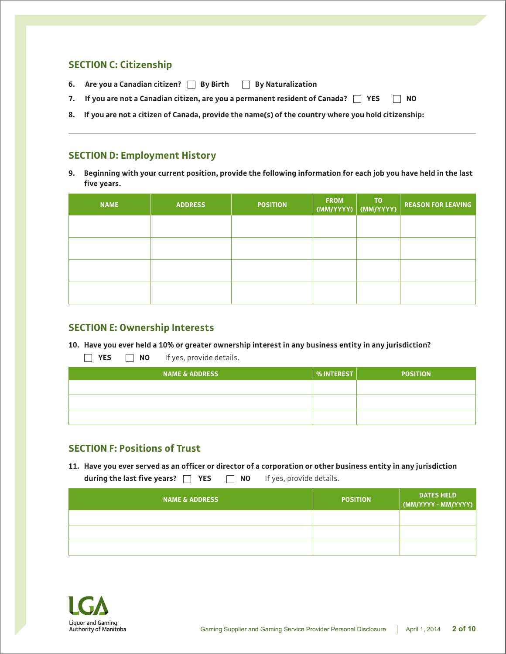## **SECTION C: Citizenship**

- **6. Are you a Canadian citizen? By Birth By Naturalization**
- **7. If you are not a Canadian citizen, are you a permanent resident of Canada? YES NO**
- **8. If you are not a citizen of Canada, provide the name(s) of the country where you hold citizenship:**

## **SECTION D: Employment History**

**9. Beginning with your current position, provide the following information for each job you have held in the last five years.**

| <b>NAME</b> | <b>ADDRESS</b> | <b>POSITION</b> | <b>FROM</b><br>(MM/YYYY) | T <sub>0</sub><br>(MM/YYYY) | <b>REASON FOR LEAVING</b> |
|-------------|----------------|-----------------|--------------------------|-----------------------------|---------------------------|
|             |                |                 |                          |                             |                           |
|             |                |                 |                          |                             |                           |
|             |                |                 |                          |                             |                           |
|             |                |                 |                          |                             |                           |

#### **SECTION E: Ownership Interests**

**10. Have you ever held a 10% or greater ownership interest in any business entity in any jurisdiction?**

**YES NO** If yes, provide details.

| <b>NAME &amp; ADDRESS</b> | % INTEREST | <b>POSITION</b> |
|---------------------------|------------|-----------------|
|                           |            |                 |
|                           |            |                 |
|                           |            |                 |

## **SECTION F: Positions of Trust**

**11. Have you ever served as an officer or director of a corporation or other business entity in any jurisdiction during the last five years? YES NO** If yes, provide details.

| <b>NAME &amp; ADDRESS</b> | <b>POSITION</b> | <b>DATES HELD</b><br>$\mid$ (MM/YYYY - MM/YYYY) |
|---------------------------|-----------------|-------------------------------------------------|
|                           |                 |                                                 |
|                           |                 |                                                 |
|                           |                 |                                                 |

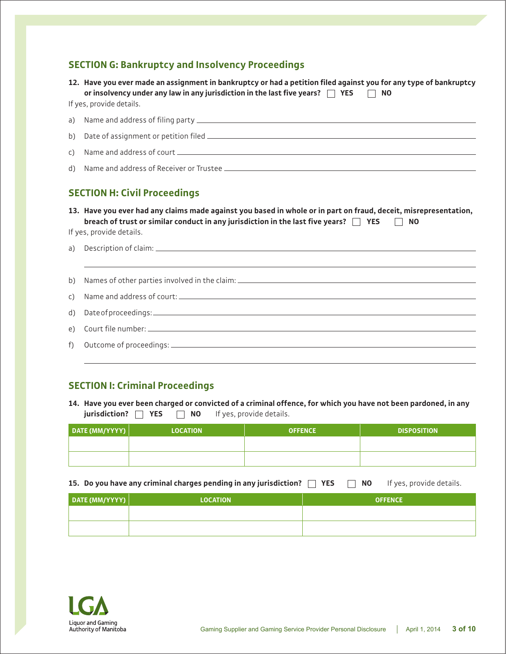## **SECTION G: Bankruptcy and Insolvency Proceedings**

|              | 12. Have you ever made an assignment in bankruptcy or had a petition filed against you for any type of bankruptcy<br>or insolvency under any law in any jurisdiction in the last five years? $\Box$ YES $\Box$<br><b>NO</b>                         |
|--------------|-----------------------------------------------------------------------------------------------------------------------------------------------------------------------------------------------------------------------------------------------------|
|              | If yes, provide details.                                                                                                                                                                                                                            |
| a)           |                                                                                                                                                                                                                                                     |
| b)           |                                                                                                                                                                                                                                                     |
| $\mathsf{C}$ |                                                                                                                                                                                                                                                     |
| d)           |                                                                                                                                                                                                                                                     |
|              | <b>SECTION H: Civil Proceedings</b>                                                                                                                                                                                                                 |
|              |                                                                                                                                                                                                                                                     |
|              | 13. Have you ever had any claims made against you based in whole or in part on fraud, deceit, misrepresentation,<br>breach of trust or similar conduct in any jurisdiction in the last five years? $\Box$ YES $\Box$ NO<br>If yes, provide details. |
| a)           |                                                                                                                                                                                                                                                     |
| b)           |                                                                                                                                                                                                                                                     |
| C)           |                                                                                                                                                                                                                                                     |
| d)           |                                                                                                                                                                                                                                                     |
| e)           |                                                                                                                                                                                                                                                     |

## **SECTION I: Criminal Proceedings**

|                                                                                  | 14. Have you ever been charged or convicted of a criminal offence, for which you have not been pardoned, in any |
|----------------------------------------------------------------------------------|-----------------------------------------------------------------------------------------------------------------|
| <b>jurisdiction?</b> $\Box$ <b>YES</b> $\Box$ <b>NO</b> If yes, provide details. |                                                                                                                 |

| DATE (MM/YYYY)   <sup> </sup> | <b>LOCATION</b> | <b>OFFENCE</b> | <b>DISPOSITION</b> |
|-------------------------------|-----------------|----------------|--------------------|
|                               |                 |                |                    |
|                               |                 |                |                    |

**15. Do you have any criminal charges pending in any jurisdiction? YES NO** If yes, provide details.

| DATE (MM/YYYY) | <b>LOCATION</b> | <b>OFFENCE</b> |
|----------------|-----------------|----------------|
|                |                 |                |
|                |                 |                |

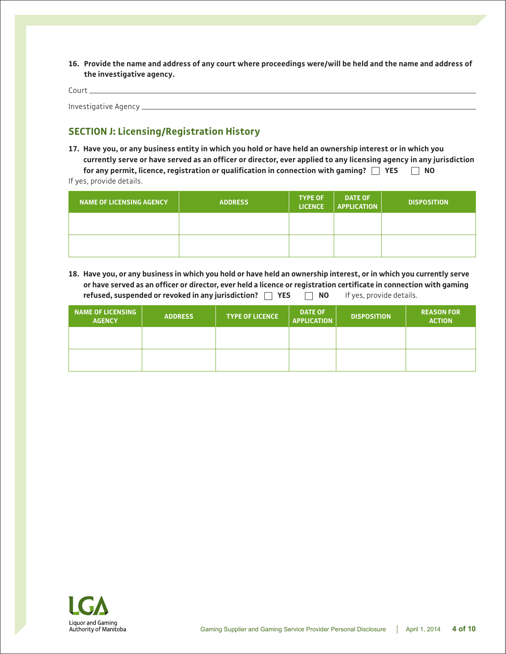**16. Provide the name and address of any court where proceedings were/will be held and the name and address of the investigative agency.**

Court Investigative Agency

## **SECTION J: Licensing/Registration History**

**17. Have you, or any business entity in which you hold or have held an ownership interest or in which you currently serve or have served as an officer or director, ever applied to any licensing agency in any jurisdiction for any permit, licence, registration or qualification in connection with gaming? YES NO** If yes, provide details.

| <b>NAME OF LICENSING AGENCY</b> | <b>ADDRESS</b> | <b>TYPE OF</b><br><b>LICENCE</b> | <b>DATE OF</b><br><b>APPLICATION</b> | <b>DISPOSITION</b> |
|---------------------------------|----------------|----------------------------------|--------------------------------------|--------------------|
|                                 |                |                                  |                                      |                    |
|                                 |                |                                  |                                      |                    |

**18. Have you, or any business in which you hold or have held an ownership interest, or in which you currently serve or have served as an officer or director, ever held a licence or registration certificate in connection with gaming refused, suspended or revoked in any jurisdiction? YES NO** If yes, provide details.

| <b>NAME OF LICENSING</b><br><b>AGENCY</b> | <b>ADDRESS</b> | <b>TYPE OF LICENCE</b> | <b>DATE OF</b><br><b>APPLICATION</b> | <b>DISPOSITION</b> | <b>REASON FOR</b><br><b>ACTION</b> |
|-------------------------------------------|----------------|------------------------|--------------------------------------|--------------------|------------------------------------|
|                                           |                |                        |                                      |                    |                                    |
|                                           |                |                        |                                      |                    |                                    |

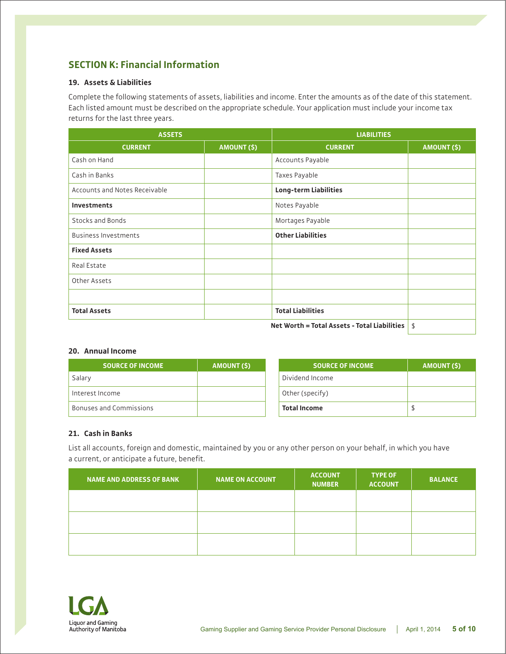## **SECTION K: Financial Information**

#### **19. Assets & Liabilities**

Complete the following statements of assets, liabilities and income. Enter the amounts as of the date of this statement. Each listed amount must be described on the appropriate schedule. Your application must include your income tax returns for the last three years.

| <b>ASSETS</b>                 |             | <b>LIABILITIES</b>                           |                    |
|-------------------------------|-------------|----------------------------------------------|--------------------|
| <b>CURRENT</b>                | AMOUNT (\$) | <b>CURRENT</b>                               | <b>AMOUNT (\$)</b> |
| Cash on Hand                  |             | Accounts Payable                             |                    |
| Cash in Banks                 |             | Taxes Payable                                |                    |
| Accounts and Notes Receivable |             | <b>Long-term Liabilities</b>                 |                    |
| Investments                   |             | Notes Payable                                |                    |
| Stocks and Bonds              |             | Mortages Payable                             |                    |
| <b>Business Investments</b>   |             | <b>Other Liabilities</b>                     |                    |
| <b>Fixed Assets</b>           |             |                                              |                    |
| Real Estate                   |             |                                              |                    |
| Other Assets                  |             |                                              |                    |
|                               |             |                                              |                    |
| <b>Total Assets</b>           |             | <b>Total Liabilities</b>                     |                    |
|                               |             | Net Worth = Total Assets - Total Liabilities | \$                 |

#### **20. Annual Income**

| <b>SOURCE OF INCOME</b>        | AMOUNT (\$) |
|--------------------------------|-------------|
| Salary                         |             |
| Interest Income                |             |
| <b>Bonuses and Commissions</b> |             |

| <b>SOURCE OF INCOME</b> | <b>AMOUNT (\$)</b> |
|-------------------------|--------------------|
| Dividend Income         |                    |
| Other (specify)         |                    |
| <b>Total Income</b>     |                    |

#### **21. Cash in Banks**

List all accounts, foreign and domestic, maintained by you or any other person on your behalf, in which you have a current, or anticipate a future, benefit.

| NAME AND ADDRESS OF BANK | <b>NAME ON ACCOUNT</b> | <b>ACCOUNT</b><br><b>NUMBER</b> | <b>TYPE OF</b><br><b>ACCOUNT</b> | <b>BALANCE</b> |
|--------------------------|------------------------|---------------------------------|----------------------------------|----------------|
|                          |                        |                                 |                                  |                |
|                          |                        |                                 |                                  |                |
|                          |                        |                                 |                                  |                |

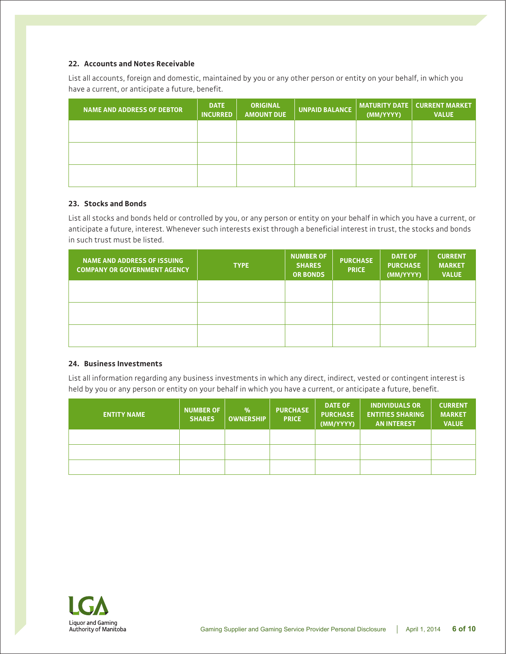#### **22. Accounts and Notes Receivable**

List all accounts, foreign and domestic, maintained by you or any other person or entity on your behalf, in which you have a current, or anticipate a future, benefit.

| <b>NAME AND ADDRESS OF DEBTOR</b> | <b>DATE</b><br><b>INCURRED</b> | <b>ORIGINAL</b><br><b>AMOUNT DUE</b> | <b>UNPAID BALANCE</b> | (MM/YYYY) | $\sqrt{MATURITY}$ DATE $\sqrt{M}$ CURRENT MARKET<br><b>VALUE</b> |
|-----------------------------------|--------------------------------|--------------------------------------|-----------------------|-----------|------------------------------------------------------------------|
|                                   |                                |                                      |                       |           |                                                                  |
|                                   |                                |                                      |                       |           |                                                                  |
|                                   |                                |                                      |                       |           |                                                                  |

#### **23. Stocks and Bonds**

List all stocks and bonds held or controlled by you, or any person or entity on your behalf in which you have a current, or anticipate a future, interest. Whenever such interests exist through a beneficial interest in trust, the stocks and bonds in such trust must be listed.

| <b>NAME AND ADDRESS OF ISSUING</b><br><b>COMPANY OR GOVERNMENT AGENCY</b> | <b>TYPE</b> | <b>NUMBER OF</b><br><b>SHARES</b><br><b>OR BONDS</b> | <b>PURCHASE</b><br><b>PRICE</b> | <b>DATE OF</b><br><b>PURCHASE</b><br>(MM/YYYY) | <b>CURRENT</b><br><b>MARKET</b><br><b>VALUE</b> |
|---------------------------------------------------------------------------|-------------|------------------------------------------------------|---------------------------------|------------------------------------------------|-------------------------------------------------|
|                                                                           |             |                                                      |                                 |                                                |                                                 |
|                                                                           |             |                                                      |                                 |                                                |                                                 |
|                                                                           |             |                                                      |                                 |                                                |                                                 |

#### **24. Business Investments**

List all information regarding any business investments in which any direct, indirect, vested or contingent interest is held by you or any person or entity on your behalf in which you have a current, or anticipate a future, benefit.

| <b>ENTITY NAME</b> | <b>NUMBER OF</b><br><b>SHARES</b> | $\%$<br><b>OWNERSHIP</b> | <b>PURCHASE</b><br><b>PRICE</b> | <b>DATE OF</b><br><b>PURCHASE</b><br>(MM/YYYY) | <b>INDIVIDUALS OR</b><br><b>ENTITIES SHARING</b><br><b>AN INTEREST</b> | <b>CURRENT</b><br><b>MARKET</b><br><b>VALUE</b> |
|--------------------|-----------------------------------|--------------------------|---------------------------------|------------------------------------------------|------------------------------------------------------------------------|-------------------------------------------------|
|                    |                                   |                          |                                 |                                                |                                                                        |                                                 |
|                    |                                   |                          |                                 |                                                |                                                                        |                                                 |
|                    |                                   |                          |                                 |                                                |                                                                        |                                                 |

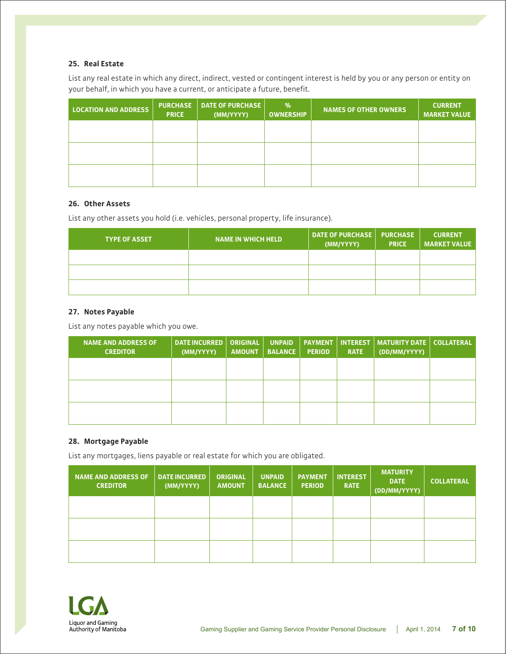#### **25. Real Estate**

List any real estate in which any direct, indirect, vested or contingent interest is held by you or any person or entity on your behalf, in which you have a current, or anticipate a future, benefit.

| <b>LOCATION AND ADDRESS</b> | <b>PURCHASE</b><br><b>PRICE</b> | <b>DATE OF PURCHASE</b><br>(MM/YYYY) | $\frac{9}{6}$<br><b>OWNERSHIP</b> | <b>NAMES OF OTHER OWNERS</b> | <b>CURRENT</b><br><b>MARKET VALUE</b> |
|-----------------------------|---------------------------------|--------------------------------------|-----------------------------------|------------------------------|---------------------------------------|
|                             |                                 |                                      |                                   |                              |                                       |
|                             |                                 |                                      |                                   |                              |                                       |
|                             |                                 |                                      |                                   |                              |                                       |

#### **26. Other Assets**

List any other assets you hold (i.e. vehicles, personal property, life insurance).

| <b>TYPE OF ASSET</b> | <b>NAME IN WHICH HELD</b> | DATE OF PURCHASE   PURCHASE<br>(MM/YYYY) | <b>PRICE</b> | <b>CURRENT</b><br><b>MARKET VALUE</b> |
|----------------------|---------------------------|------------------------------------------|--------------|---------------------------------------|
|                      |                           |                                          |              |                                       |
|                      |                           |                                          |              |                                       |
|                      |                           |                                          |              |                                       |

#### **27. Notes Payable**

List any notes payable which you owe.

| <b>NAME AND ADDRESS OF</b><br><b>CREDITOR</b> | <b>DATE INCURRED</b><br>(MM/YYYY) | <b>ORIGINAL</b><br><b>AMOUNT</b> | <b>UNPAID</b><br><b>BALANCE</b> | <b>PERIOD</b> | <b>RATE</b> | <b>PAYMENT   INTEREST   MATURITY DATE  </b><br>(DD/MM/YYYY) | <b>COLLATERAL</b> |
|-----------------------------------------------|-----------------------------------|----------------------------------|---------------------------------|---------------|-------------|-------------------------------------------------------------|-------------------|
|                                               |                                   |                                  |                                 |               |             |                                                             |                   |
|                                               |                                   |                                  |                                 |               |             |                                                             |                   |
|                                               |                                   |                                  |                                 |               |             |                                                             |                   |

#### **28. Mortgage Payable**

List any mortgages, liens payable or real estate for which you are obligated.

| <b>NAME AND ADDRESS OF</b><br><b>CREDITOR</b> | <b>DATE INCURRED</b><br>(MM/YYYY) | <b>ORIGINAL</b><br><b>AMOUNT</b> | <b>UNPAID</b><br><b>BALANCE</b> | <b>PAYMENT</b><br><b>PERIOD</b> | <b>INTEREST</b><br><b>RATE</b> | <b>MATURITY</b><br><b>DATE</b><br>(DD/MM/YYYY) | <b>COLLATERAL</b> |
|-----------------------------------------------|-----------------------------------|----------------------------------|---------------------------------|---------------------------------|--------------------------------|------------------------------------------------|-------------------|
|                                               |                                   |                                  |                                 |                                 |                                |                                                |                   |
|                                               |                                   |                                  |                                 |                                 |                                |                                                |                   |
|                                               |                                   |                                  |                                 |                                 |                                |                                                |                   |

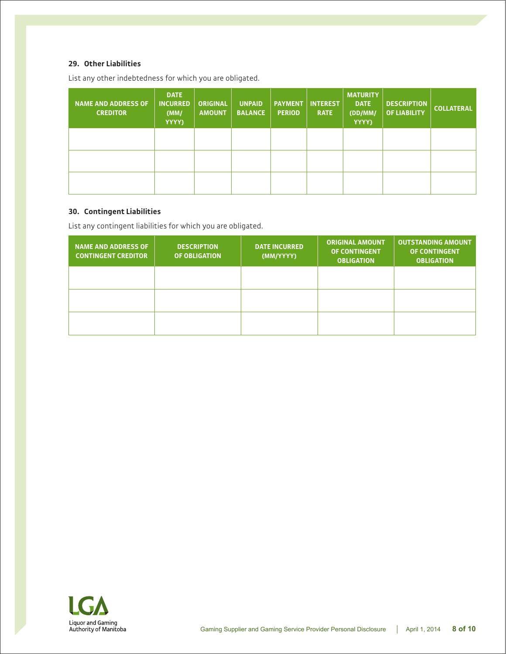#### **29. Other Liabilities**

List any other indebtedness for which you are obligated.

| <b>NAME AND ADDRESS OF</b><br><b>CREDITOR</b> | <b>DATE</b><br><b>INCURRED</b><br>(MM)<br>YYYY) | <b>ORIGINAL</b><br><b>AMOUNT</b> | <b>UNPAID</b><br><b>BALANCE</b> | <b>PAYMENT</b><br><b>PERIOD</b> | <b>INTEREST</b><br><b>RATE</b> | <b>MATURITY</b><br><b>DATE</b><br>(DD/MM/<br>YYYY) | <b>DESCRIPTION</b><br><b>OF LIABILITY</b> | <b>COLLATERAL</b> |
|-----------------------------------------------|-------------------------------------------------|----------------------------------|---------------------------------|---------------------------------|--------------------------------|----------------------------------------------------|-------------------------------------------|-------------------|
|                                               |                                                 |                                  |                                 |                                 |                                |                                                    |                                           |                   |
|                                               |                                                 |                                  |                                 |                                 |                                |                                                    |                                           |                   |
|                                               |                                                 |                                  |                                 |                                 |                                |                                                    |                                           |                   |

#### **30. Contingent Liabilities**

List any contingent liabilities for which you are obligated.

| <b>NAME AND ADDRESS OF</b><br><b>CONTINGENT CREDITOR</b> | <b>DESCRIPTION</b><br><b>OF OBLIGATION</b> | <b>DATE INCURRED</b><br>(MM/YYYY) | <b>ORIGINAL AMOUNT</b><br><b>OF CONTINGENT</b><br><b>OBLIGATION</b> | <b>OUTSTANDING AMOUNT</b><br><b>OF CONTINGENT</b><br><b>OBLIGATION</b> |
|----------------------------------------------------------|--------------------------------------------|-----------------------------------|---------------------------------------------------------------------|------------------------------------------------------------------------|
|                                                          |                                            |                                   |                                                                     |                                                                        |
|                                                          |                                            |                                   |                                                                     |                                                                        |
|                                                          |                                            |                                   |                                                                     |                                                                        |

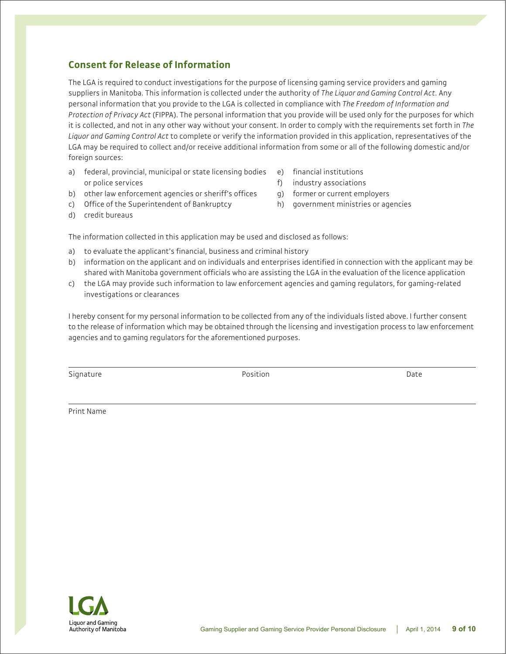## **Consent for Release of Information**

The LGA is required to conduct investigations for the purpose of licensing gaming service providers and gaming suppliers in Manitoba. This information is collected under the authority of *The Liquor and Gaming Control Act*. Any personal information that you provide to the LGA is collected in compliance with *The Freedom of Information and Protection of Privacy Act* (FIPPA). The personal information that you provide will be used only for the purposes for which it is collected, and not in any other way without your consent. In order to comply with the requirements set forth in *The Liquor and Gaming Control Act* to complete or verify the information provided in this application, representatives of the LGA may be required to collect and/or receive additional information from some or all of the following domestic and/or foreign sources:

- a) federal, provincial, municipal or state licensing bodies or police services
- e) financial institutions
- f) industry associations
- b) other law enforcement agencies or sheriff's offices
- c) Office of the Superintendent of Bankruptcy
- d) credit bureaus
- g) former or current employers
- h) government ministries or agencies

The information collected in this application may be used and disclosed as follows:

- a) to evaluate the applicant's financial, business and criminal history
- b) information on the applicant and on individuals and enterprises identified in connection with the applicant may be shared with Manitoba government officials who are assisting the LGA in the evaluation of the licence application
- c) the LGA may provide such information to law enforcement agencies and gaming regulators, for gaming-related investigations or clearances

I hereby consent for my personal information to be collected from any of the individuals listed above. I further consent to the release of information which may be obtained through the licensing and investigation process to law enforcement agencies and to gaming regulators for the aforementioned purposes.

Signature **Position** Date **Position** Date **Position** Date **Position** 

Print Name